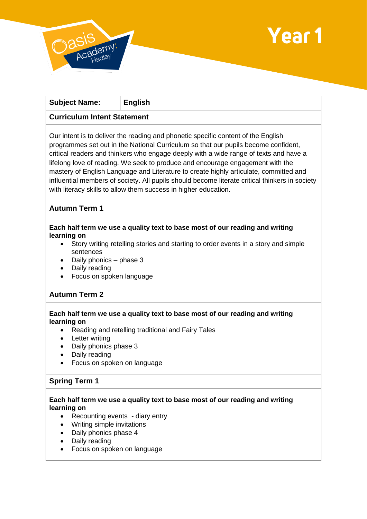



| <b>Subject Name:</b>                                                                                                                                                                                                                                                                                                                                                                                                                                                                                                                                                                                             | <b>English</b> |
|------------------------------------------------------------------------------------------------------------------------------------------------------------------------------------------------------------------------------------------------------------------------------------------------------------------------------------------------------------------------------------------------------------------------------------------------------------------------------------------------------------------------------------------------------------------------------------------------------------------|----------------|
| <b>Curriculum Intent Statement</b>                                                                                                                                                                                                                                                                                                                                                                                                                                                                                                                                                                               |                |
| Our intent is to deliver the reading and phonetic specific content of the English<br>programmes set out in the National Curriculum so that our pupils become confident,<br>critical readers and thinkers who engage deeply with a wide range of texts and have a<br>lifelong love of reading. We seek to produce and encourage engagement with the<br>mastery of English Language and Literature to create highly articulate, committed and<br>influential members of society. All pupils should become literate critical thinkers in society<br>with literacy skills to allow them success in higher education. |                |
| <b>Autumn Term 1</b>                                                                                                                                                                                                                                                                                                                                                                                                                                                                                                                                                                                             |                |
| Each half term we use a quality text to base most of our reading and writing<br>learning on<br>Story writing retelling stories and starting to order events in a story and simple<br>$\bullet$<br>sentences<br>Daily phonics - phase 3<br>$\bullet$<br>Daily reading<br>$\bullet$<br>Focus on spoken language                                                                                                                                                                                                                                                                                                    |                |
| <b>Autumn Term 2</b>                                                                                                                                                                                                                                                                                                                                                                                                                                                                                                                                                                                             |                |
| Each half term we use a quality text to base most of our reading and writing<br>learning on<br>Reading and retelling traditional and Fairy Tales<br>$\bullet$<br>Letter writing<br>$\bullet$<br>Daily phonics phase 3<br>$\bullet$<br>Daily reading<br>$\bullet$<br>Focus on spoken on language<br>٠                                                                                                                                                                                                                                                                                                             |                |
| <b>Spring Term 1</b>                                                                                                                                                                                                                                                                                                                                                                                                                                                                                                                                                                                             |                |
| Each half term we use a quality text to base most of our reading and writing<br>learning on<br>Recounting events - diary entry<br>$\bullet$<br>Writing simple invitations<br>Daily phonics phase 4<br>Daily reading<br>Focus on spoken on language                                                                                                                                                                                                                                                                                                                                                               |                |